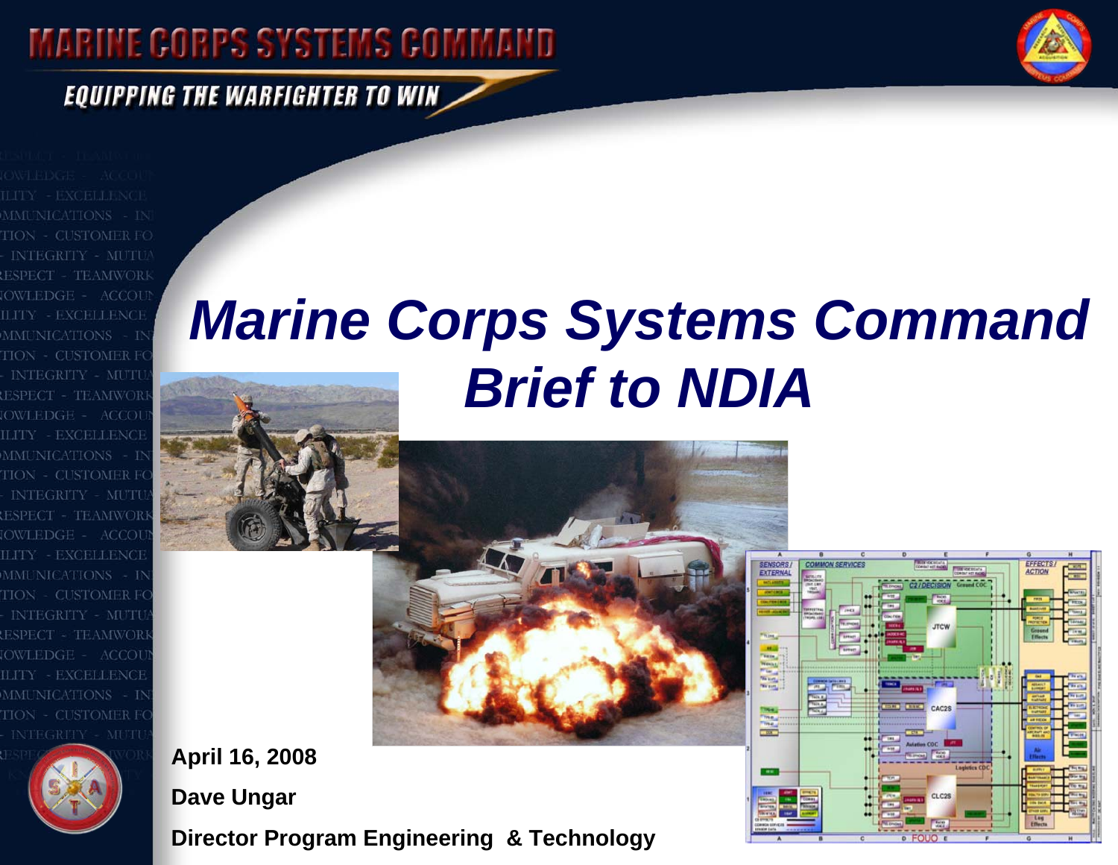## **MARINE CORPS SYSTEMS COMMAND**



FFFECT

**EQUIPPING THE WARFIGHTER TO WIN** 

HON . **INTEGRITY** - TEAMWORI OWLEDGE = ACCOU LITY - EXCELLENCE MMUNICATIONS - IN **HON - CUSTOMER F INTEGRITY - MUTI** OWLEDGE - ACCOU LITY - EXCELLENCI **MMUNICATIONS** TON - CUSTOMER F MUT TEAMWOR **OWLEDGE -**ACCO **ILITY - EXCELLENCE MMUNICATIONS** ITON - CUSTOMER F ILITY - EXCELLENC





**Dave Ungar**

**Director Program Engineering & Technology**

# *Marine Corps Systems Command Brief to NDIA*



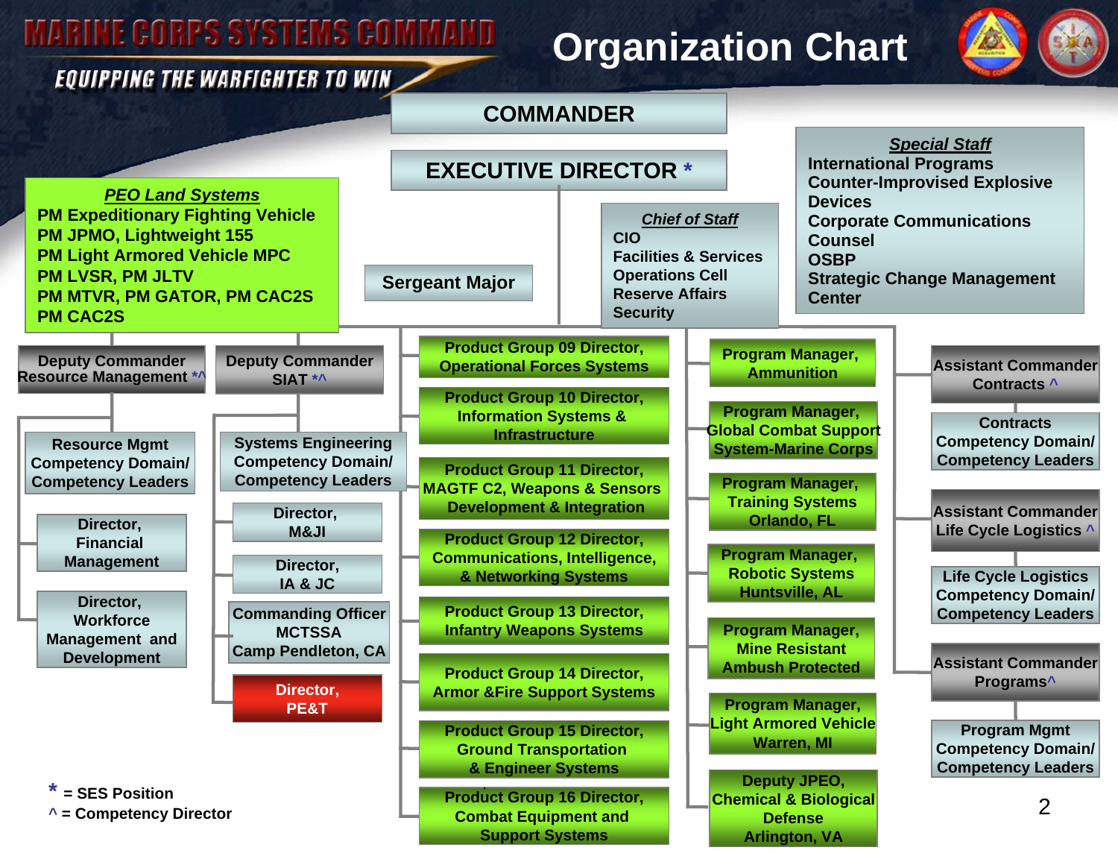### **MARINE CORPS SYSTEMS COMMAND**

#### **EQUIPPING THE WARFIGHTER TO WIN**

### **Organization Chart**